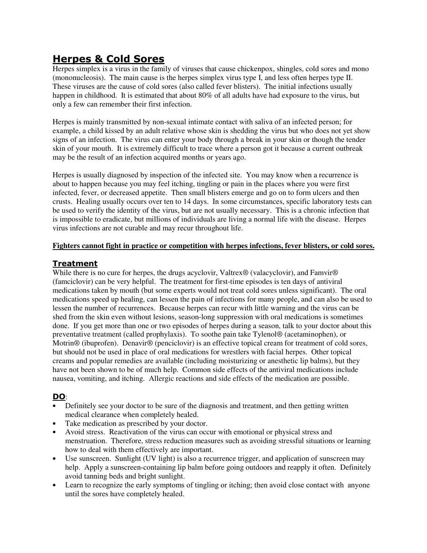# **Herpes & Cold Sores**

Herpes simplex is a virus in the family of viruses that cause chickenpox, shingles, cold sores and mono (mononucleosis). The main cause is the herpes simplex virus type I, and less often herpes type II. These viruses are the cause of cold sores (also called fever blisters). The initial infections usually happen in childhood. It is estimated that about 80% of all adults have had exposure to the virus, but only a few can remember their first infection.

Herpes is mainly transmitted by non-sexual intimate contact with saliva of an infected person; for example, a child kissed by an adult relative whose skin is shedding the virus but who does not yet show signs of an infection. The virus can enter your body through a break in your skin or though the tender skin of your mouth. It is extremely difficult to trace where a person got it because a current outbreak may be the result of an infection acquired months or years ago.

Herpes is usually diagnosed by inspection of the infected site. You may know when a recurrence is about to happen because you may feel itching, tingling or pain in the places where you were first infected, fever, or decreased appetite. Then small blisters emerge and go on to form ulcers and then crusts. Healing usually occurs over ten to 14 days. In some circumstances, specific laboratory tests can be used to verify the identity of the virus, but are not usually necessary. This is a chronic infection that is impossible to eradicate, but millions of individuals are living a normal life with the disease. Herpes virus infections are not curable and may recur throughout life.

#### **Fighters cannot fight in practice or competition with herpes infections, fever blisters, or cold sores.**

## **Treatment**

While there is no cure for herpes, the drugs acyclovir, Valtrex<sup>®</sup> (valacyclovir), and Famvir<sup>®</sup> (famciclovir) can be very helpful. The treatment for first-time episodes is ten days of antiviral medications taken by mouth (but some experts would not treat cold sores unless significant). The oral medications speed up healing, can lessen the pain of infections for many people, and can also be used to lessen the number of recurrences. Because herpes can recur with little warning and the virus can be shed from the skin even without lesions, season-long suppression with oral medications is sometimes done. If you get more than one or two episodes of herpes during a season, talk to your doctor about this preventative treatment (called prophylaxis). To soothe pain take Tylenol® (acetaminophen), or Motrin® (ibuprofen). Denavir® (penciclovir) is an effective topical cream for treatment of cold sores, but should not be used in place of oral medications for wrestlers with facial herpes. Other topical creams and popular remedies are available (including moisturizing or anesthetic lip balms), but they have not been shown to be of much help. Common side effects of the antiviral medications include nausea, vomiting, and itching. Allergic reactions and side effects of the medication are possible.

# **DO**:

- Definitely see your doctor to be sure of the diagnosis and treatment, and then getting written medical clearance when completely healed.
- Take medication as prescribed by your doctor.
- Avoid stress. Reactivation of the virus can occur with emotional or physical stress and menstruation. Therefore, stress reduction measures such as avoiding stressful situations or learning how to deal with them effectively are important.
- Use sunscreen. Sunlight (UV light) is also a recurrence trigger, and application of sunscreen may help. Apply a sunscreen-containing lip balm before going outdoors and reapply it often. Definitely avoid tanning beds and bright sunlight.
- Learn to recognize the early symptoms of tingling or itching; then avoid close contact with anyone until the sores have completely healed.